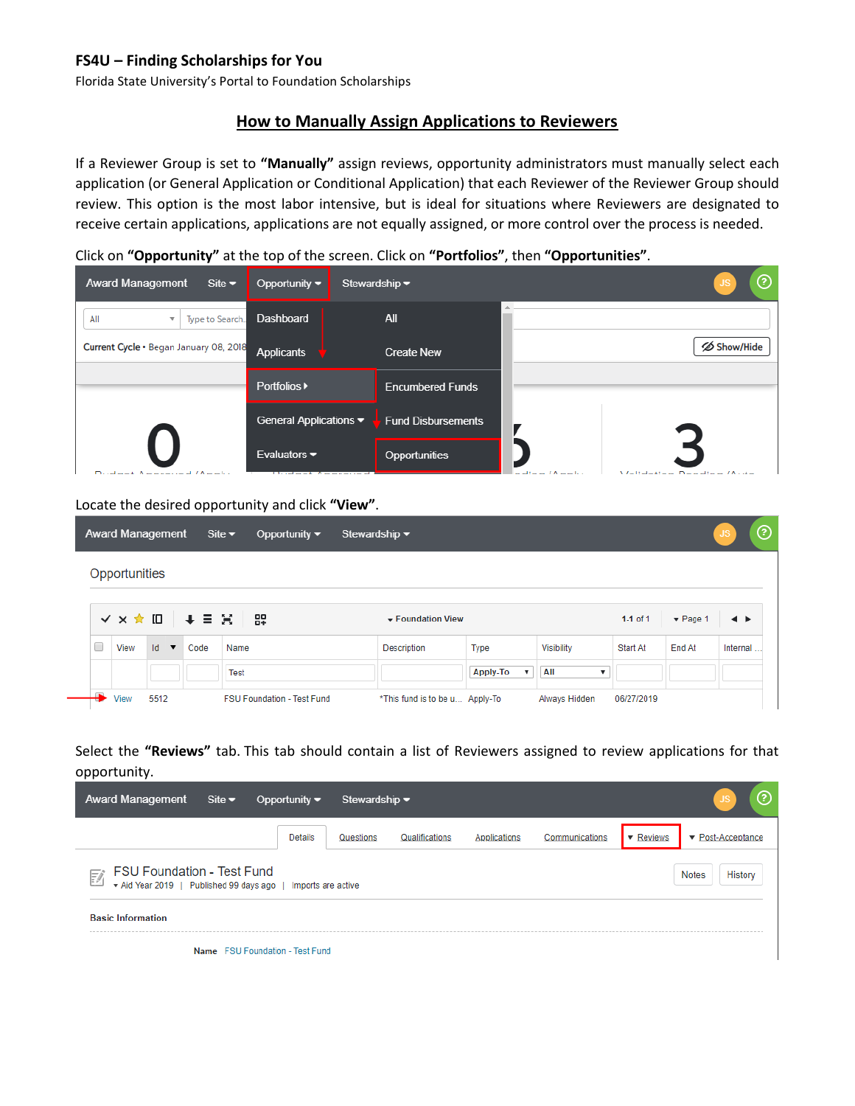## **FS4U – Finding Scholarships for You**

Florida State University's Portal to Foundation Scholarships

# **How to Manually Assign Applications to Reviewers**

If a Reviewer Group is set to **"Manually"** assign reviews, opportunity administrators must manually select each application (or General Application or Conditional Application) that each Reviewer of the Reviewer Group should review. This option is the most labor intensive, but is ideal for situations where Reviewers are designated to receive certain applications, applications are not equally assigned, or more control over the process is needed.

#### Click on **"Opportunity"** at the top of the screen. Click on **"Portfolios"**, then **"Opportunities"**.

| <b>Award Management</b><br>Site $\blacktriangleright$ | Opportunity $\blacktriangledown$                           | Stewardship $\blacktriangledown$ | ⑦                                                   |
|-------------------------------------------------------|------------------------------------------------------------|----------------------------------|-----------------------------------------------------|
| All<br>Type to Search.<br>$\overline{\mathbf{v}}$     | Dashboard                                                  | All                              |                                                     |
| Current Cycle . Began January 08, 2018                | <b>Applicants</b>                                          | <b>Create New</b>                | <b>∅ Show/Hide</b>                                  |
|                                                       | <b>Portfolios ▶</b>                                        | <b>Encumbered Funds</b>          |                                                     |
|                                                       | General Applications ▼                                     | <b>Fund Disbursements</b>        |                                                     |
| Dudoot AnnenvallAndie                                 | Evaluators $\blacktriangledown$<br><b>Underst Anneaund</b> | <b>Opportunities</b>             | melines (Annulus<br><i>Molidation Donding (Auto</i> |

#### Locate the desired opportunity and click **"View"**.

|   |               | <b>Award Management</b>            |      | Site $\blacktriangleright$<br>Opportunity $\blacktriangledown$ | Stewardship $\blacktriangledown$ |          |               |                           |                             | $^{\circledR}$<br>JS |
|---|---------------|------------------------------------|------|----------------------------------------------------------------|----------------------------------|----------|---------------|---------------------------|-----------------------------|----------------------|
|   | Opportunities |                                    |      |                                                                |                                  |          |               |                           |                             |                      |
|   |               |                                    |      | V X ★ ID   + = H   &                                           | ▼ Foundation View                |          |               | 1-1 of $1$                | $\blacktriangledown$ Page 1 | ◂▸                   |
| □ | View          | $\mathsf{Id}$ $\blacktriangledown$ | Code | Name                                                           | Description                      | Type     | Visibility    | Start At                  | End At                      | Internal             |
|   |               |                                    |      | Test                                                           |                                  | Apply-To | All           | $\boldsymbol{\mathrm{v}}$ |                             |                      |
|   | View          | 5512                               |      | <b>FSU Foundation - Test Fund</b>                              | *This fund is to be u Apply-To   |          | Always Hidden | 06/27/2019                |                             |                      |

## Select the **"Reviews"** tab. This tab should contain a list of Reviewers assigned to review applications for that opportunity.

| <b>Award Management</b>                                                                                | Site $\blacktriangledown$       | Opportunity $\blacktriangledown$ | Stewardship $\blacktriangledown$ |                |              |                |           | ᢙ                                     |
|--------------------------------------------------------------------------------------------------------|---------------------------------|----------------------------------|----------------------------------|----------------|--------------|----------------|-----------|---------------------------------------|
|                                                                                                        |                                 | <b>Details</b>                   | Questions                        | Qualifications | Applications | Communications | ▼ Reviews | $\blacktriangleright$ Post-Acceptance |
| <b>FSU Foundation - Test Fund</b><br>F<br>* Aid Year 2019   Published 99 days ago   Imports are active |                                 |                                  |                                  |                |              |                |           | History<br><b>Notes</b>               |
| <b>Basic Information</b>                                                                               |                                 |                                  |                                  |                |              |                |           |                                       |
|                                                                                                        | Name FSU Foundation - Test Fund |                                  |                                  |                |              |                |           |                                       |